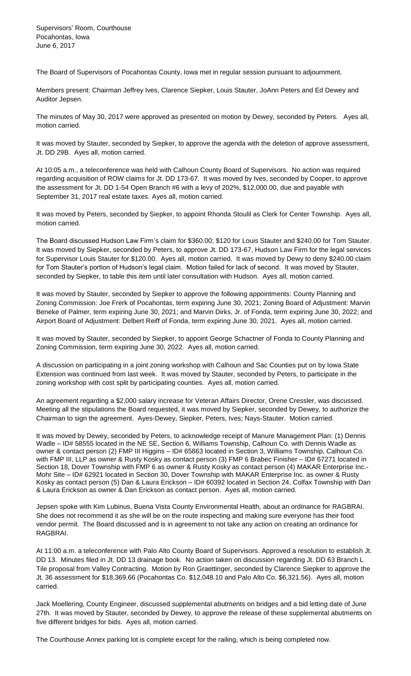Supervisors' Room, Courthouse Pocahontas, Iowa June 6, 2017

The Board of Supervisors of Pocahontas County, Iowa met in regular session pursuant to adjournment.

Members present: Chairman Jeffrey Ives, Clarence Siepker, Louis Stauter, JoAnn Peters and Ed Dewey and Auditor Jepsen.

The minutes of May 30, 2017 were approved as presented on motion by Dewey, seconded by Peters. Ayes all, motion carried.

It was moved by Stauter, seconded by Siepker, to approve the agenda with the deletion of approve assessment, Jt. DD 29B. Ayes all, motion carried.

At 10:05 a.m., a teleconference was held with Calhoun County Board of Supervisors. No action was required regarding acquisition of ROW claims for Jt. DD 173-67. It was moved by Ives, seconded by Cooper, to approve the assessment for Jt. DD 1-54 Open Branch #6 with a levy of 202%, \$12,000.00, due and payable with September 31, 2017 real estate taxes. Ayes all, motion carried.

It was moved by Peters, seconded by Siepker, to appoint Rhonda Stoulil as Clerk for Center Township. Ayes all, motion carried.

The Board discussed Hudson Law Firm's claim for \$360.00; \$120 for Louis Stauter and \$240.00 for Tom Stauter. It was moved by Siepker, seconded by Peters, to approve Jt. DD 173-67, Hudson Law Firm for the legal services for Supervisor Louis Stauter for \$120.00. Ayes all, motion carried. It was moved by Dewy to deny \$240.00 claim for Tom Stauter's portion of Hudson's legal claim. Motion failed for lack of second. It was moved by Stauter, seconded by Siepker, to table this item until later consultation with Hudson. Ayes all, motion carried.

It was moved by Stauter, seconded by Siepker to approve the following appointments: County Planning and Zoning Commission: Joe Frerk of Pocahontas, term expiring June 30, 2021; Zoning Board of Adjustment: Marvin Beneke of Palmer, term expiring June 30, 2021; and Marvin Dirks, Jr. of Fonda, term expiring June 30, 2022; and Airport Board of Adjustment: Delbert Reiff of Fonda, term expiring June 30, 2021. Ayes all, motion carried.

It was moved by Stauter, seconded by Siepker, to appoint George Schactner of Fonda to County Planning and Zoning Commission, term expiring June 30, 2022. Ayes all, motion carried.

A discussion on participating in a joint zoning workshop with Calhoun and Sac Counties put on by Iowa State Extension was continued from last week. It was moved by Stauter, seconded by Peters, to participate in the zoning workshop with cost split by participating counties. Ayes all, motion carried.

An agreement regarding a \$2,000 salary increase for Veteran Affairs Director, Orene Cressler, was discussed. Meeting all the stipulations the Board requested, it was moved by Siepker, seconded by Dewey, to authorize the Chairman to sign the agreement. Ayes-Dewey, Siepker, Peters, Ives; Nays-Stauter. Motion carried.

It was moved by Dewey, seconded by Peters, to acknowledge receipt of Manure Management Plan: (1) Dennis Wadle – ID# 58555 located in the NE SE, Section 6, Williams Township, Calhoun Co. with Dennis Wadle as owner & contact person (2) FMP III Higgins – ID# 65863 located in Section 3, Williams Township, Calhoun Co. with FMP III, LLP as owner & Rusty Kosky as contact person (3) FMP 6 Brabec Finisher - ID# 67271 located in Section 18, Dover Township with FMP 6 as owner & Rusty Kosky as contact person (4) MAKAR Enterprise Inc.- Mohr Site – ID# 62921 located in Section 30, Dover Township with MAKAR Enterprise Inc. as owner & Rusty Kosky as contact person (5) Dan & Laura Erickson – ID# 60392 located in Section 24, Colfax Township with Dan & Laura Erickson as owner & Dan Erickson as contact person. Ayes all, motion carried.

Jepsen spoke with Kim Lubinus, Buena Vista County Environmental Health, about an ordinance for RAGBRAI. She does not recommend it as she will be on the route inspecting and making sure everyone has their food vendor permit. The Board discussed and is in agreement to not take any action on creating an ordinance for RAGBRAI.

At 11:00 a.m. a teleconference with Palo Alto County Board of Supervisors. Approved a resolution to establish Jt. DD 13. Minutes filed in Jt. DD 13 drainage book. No action taken on discussion regarding Jt. DD 63 Branch L Tile proposal from Valley Contracting. Motion by Ron Graettinger, seconded by Clarence Siepker to approve the Jt. 36 assessment for \$18,369.66 (Pocahontas Co. \$12,048.10 and Palo Alto Co. \$6,321.56). Ayes all, motion carried.

Jack Moellering, County Engineer, discussed supplemental abutments on bridges and a bid letting date of June 27th. It was moved by Stauter, seconded by Dewey, to approve the release of these supplemental abutments on five different bridges for bids. Ayes all, motion carried.

The Courthouse Annex parking lot is complete except for the railing, which is being completed now.